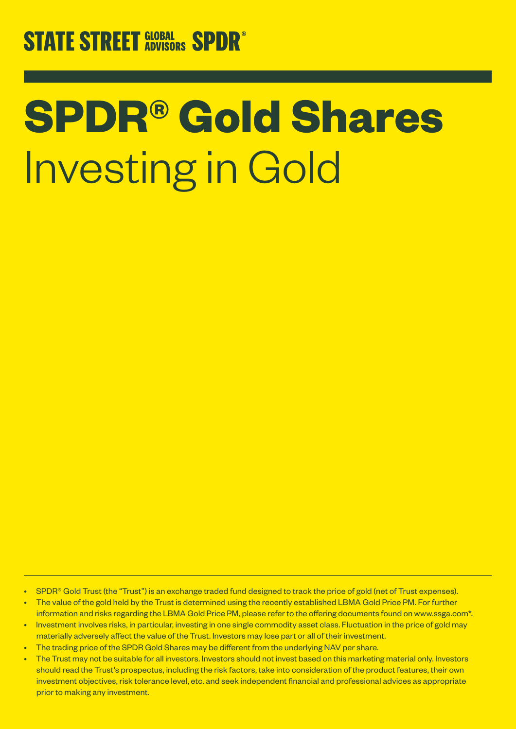# **STATE STREET GLOBAL SPDR®**

# **SPDR® Gold Shares** Investing in Gold

- SPDR<sup>®</sup> Gold Trust (the "Trust") is an exchange traded fund designed to track the price of gold (net of Trust expenses).
- The value of the gold held by the Trust is determined using the recently established LBMA Gold Price PM. For further information and risks regarding the LBMA Gold Price PM, please refer to the offering documents found on www.ssga.com\*.
- Investment involves risks, in particular, investing in one single commodity asset class. Fluctuation in the price of gold may materially adversely affect the value of the Trust. Investors may lose part or all of their investment.
- The trading price of the SPDR Gold Shares may be different from the underlying NAV per share.
- The Trust may not be suitable for all investors. Investors should not invest based on this marketing material only. Investors should read the Trust's prospectus, including the risk factors, take into consideration of the product features, their own investment objectives, risk tolerance level, etc. and seek independent financial and professional advices as appropriate prior to making any investment.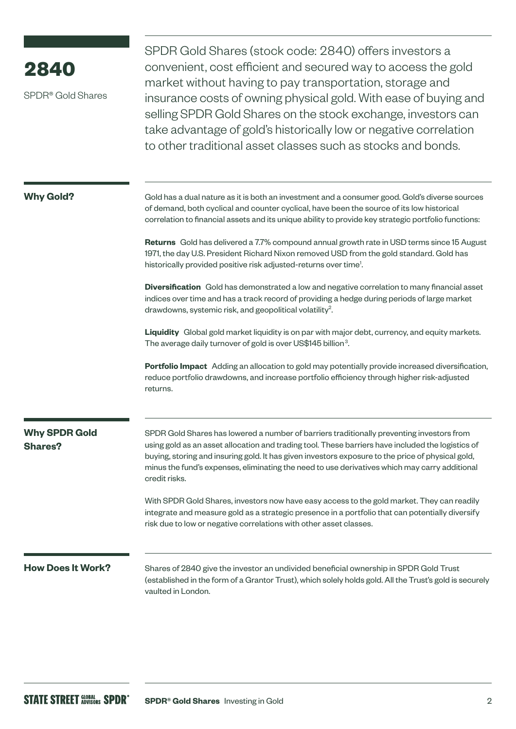| 2840<br>SPDR <sup>®</sup> Gold Shares  | SPDR Gold Shares (stock code: 2840) offers investors a<br>convenient, cost efficient and secured way to access the gold<br>market without having to pay transportation, storage and<br>insurance costs of owning physical gold. With ease of buying and<br>selling SPDR Gold Shares on the stock exchange, investors can<br>take advantage of gold's historically low or negative correlation<br>to other traditional asset classes such as stocks and bonds.                                                                                                                                                                                                      |  |
|----------------------------------------|--------------------------------------------------------------------------------------------------------------------------------------------------------------------------------------------------------------------------------------------------------------------------------------------------------------------------------------------------------------------------------------------------------------------------------------------------------------------------------------------------------------------------------------------------------------------------------------------------------------------------------------------------------------------|--|
| <b>Why Gold?</b>                       | Gold has a dual nature as it is both an investment and a consumer good. Gold's diverse sources<br>of demand, both cyclical and counter cyclical, have been the source of its low historical<br>correlation to financial assets and its unique ability to provide key strategic portfolio functions:<br>Returns Gold has delivered a 7.7% compound annual growth rate in USD terms since 15 August<br>1971, the day U.S. President Richard Nixon removed USD from the gold standard. Gold has<br>historically provided positive risk adjusted-returns over time <sup>1</sup> .                                                                                      |  |
|                                        | Diversification Gold has demonstrated a low and negative correlation to many financial asset<br>indices over time and has a track record of providing a hedge during periods of large market<br>drawdowns, systemic risk, and geopolitical volatility <sup>2</sup> .<br>Liquidity Global gold market liquidity is on par with major debt, currency, and equity markets.<br>The average daily turnover of gold is over US\$145 billion <sup>3</sup> .<br>Portfolio Impact Adding an allocation to gold may potentially provide increased diversification,<br>reduce portfolio drawdowns, and increase portfolio efficiency through higher risk-adjusted<br>returns. |  |
| <b>Why SPDR Gold</b><br><b>Shares?</b> | SPDR Gold Shares has lowered a number of barriers traditionally preventing investors from<br>using gold as an asset allocation and trading tool. These barriers have included the logistics of<br>buying, storing and insuring gold. It has given investors exposure to the price of physical gold,<br>minus the fund's expenses, eliminating the need to use derivatives which may carry additional<br>credit risks.<br>With SPDR Gold Shares, investors now have easy access to the gold market. They can readily<br>integrate and measure gold as a strategic presence in a portfolio that can potentially diversify                                            |  |
| <b>How Does It Work?</b>               | risk due to low or negative correlations with other asset classes.<br>Shares of 2840 give the investor an undivided beneficial ownership in SPDR Gold Trust<br>(established in the form of a Grantor Trust), which solely holds gold. All the Trust's gold is securely<br>vaulted in London.                                                                                                                                                                                                                                                                                                                                                                       |  |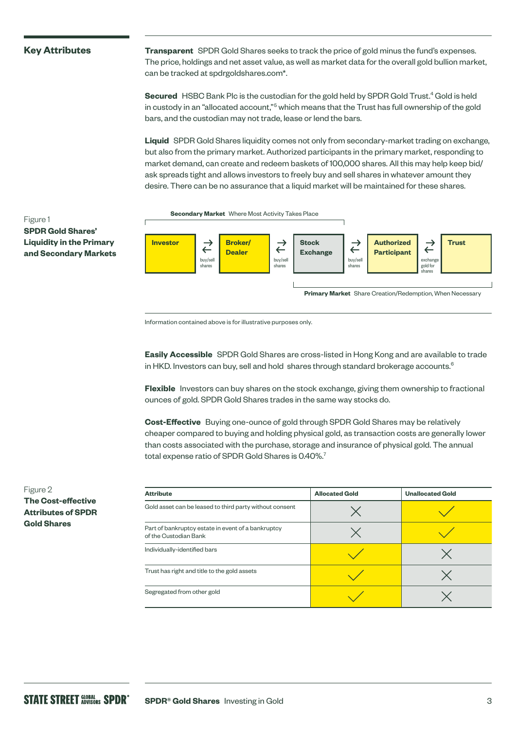## **Key Attributes**

Figure 1

**SPDR Gold Shares' Liquidity in the Primary**  **Transparent** SPDR Gold Shares seeks to track the price of gold minus the fund's expenses. The price, holdings and net asset value, as well as market data for the overall gold bullion market, can be tracked at spdrgoldshares.com\*.

Secured HSBC Bank Plc is the custodian for the gold held by SPDR Gold Trust.<sup>4</sup> Gold is held in custody in an "allocated account,"<sup>5</sup> which means that the Trust has full ownership of the gold bars, and the custodian may not trade, lease or lend the bars.

**Liquid** SPDR Gold Shares liquidity comes not only from secondary-market trading on exchange, but also from the primary market. Authorized participants in the primary market, responding to market demand, can create and redeem baskets of 100,000 shares. All this may help keep bid/ ask spreads tight and allows investors to freely buy and sell shares in whatever amount they desire. There can be no assurance that a liquid market will be maintained for these shares.



Information contained above is for illustrative purposes only.

**Easily Accessible** SPDR Gold Shares are cross-listed in Hong Kong and are available to trade in HKD. Investors can buy, sell and hold shares through standard brokerage accounts. $6$ 

**Flexible** Investors can buy shares on the stock exchange, giving them ownership to fractional ounces of gold. SPDR Gold Shares trades in the same way stocks do.

**Cost-Effective** Buying one-ounce of gold through SPDR Gold Shares may be relatively cheaper compared to buying and holding physical gold, as transaction costs are generally lower than costs associated with the purchase, storage and insurance of physical gold. The annual total expense ratio of SPDR Gold Shares is 0.40%.<sup>7</sup>

| <b>Attribute</b>                                                            | <b>Allocated Gold</b> | <b>Unallocated Gold</b> |
|-----------------------------------------------------------------------------|-----------------------|-------------------------|
| Gold asset can be leased to third party without consent                     |                       |                         |
| Part of bankruptcy estate in event of a bankruptcy<br>of the Custodian Bank |                       |                         |
| Individually-identified bars                                                |                       |                         |
| Trust has right and title to the gold assets                                |                       |                         |
| Segregated from other gold                                                  |                       |                         |

Figure 2 **The Cost-effective Attributes of SPDR Gold Shares**